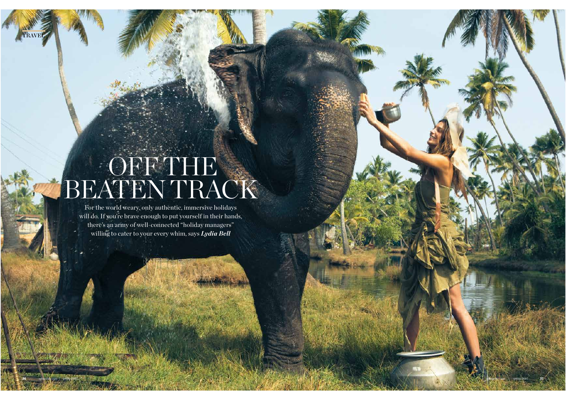# OFF THE BEATEN TRACK

TRAVEL

For the world weary, only authentic, immersive holidays will do. If you're brave enough to put yourself in their hands, there's an army of well-connected "holiday managers" willing to cater to your every whim, says *Lydia Bell*

**36** spherelife.com | *spring 2015* spherelife.com | *spring 2015* **37**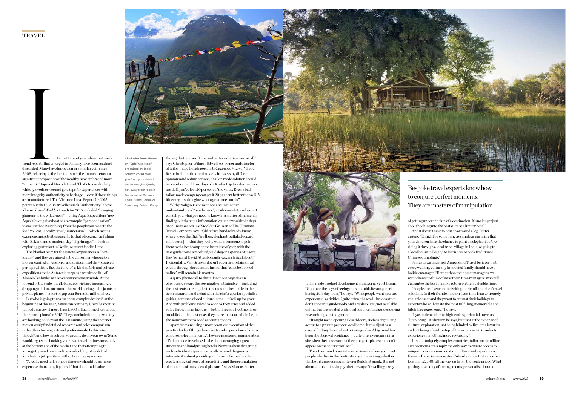

t's that time of year when the traveltrend reports that emerged in January have been read and discarded. Many have harped on in a similar vein since 2008, referring to the fact that since the financial crash, a significant proportion of the wealthy have embraced more "authentic" top-end lifestyle travel. That's to say, ditching white-gloved service and gold taps for experiences with more integrity, authenticity or heritage — even if those things are manufactured. The Virtuoso Luxe Report for 2015 points out that luxury travellers seek "authenticity" above all else. *Travel Weekly*'s trends for 2015 included "bringing glamour to the wilderness" — citing Aqua Expeditions' new Aqua Mekong riverboat as an example; "personalisation" to ensure that everything, from the people you meet to the food you eat, is really "you"; "immersion" — which means experiencing activities specific to that place, such as fishing with Eskimos; and modern-day "pilgrimages" — such as exploring graffiti art in Berlin, or street food in Lima. trend reports that emergency<br>discarded. Many have 1<br>2008, referring to the fi

Clockwise from above: an "Epic Weekend" organised by Black Tomato could take you from your desk to the Norwegian fjords; get away from it all in Botswana at Belmond Eagle Island Lodge or Sanctuary Baines' Camp through better use of time and better experiences overall," says Christopher Wilmot-Sitwell, co-owner and director of tailor-made travel specialists Cazenove + Loyd. "If you factor in all the time and anxiety in assessing diferent opinions and online options, a tailor-made solution should be a no-brainer. If two days of a 10-day trip to a destination are duff, you've lost 20 per cent of the value. Even a bad tailor-made company can get it 20 per cent better than a DIY itinerary — so imagine what a great one can do."

With prodigious connections and instinctive understanding of "new luxury", a tailor-made travel expert can tell you what you need to know in a matter of moments; finding out the same information yourself would take days of online research. As Nick Van Gruisen at The Ultimate Travel Company says: "Old Africa hands already know where to see the Big Five [lion, elephant, bufalo, leopard, rhinoceros] — what they really want is someone to point them to the best camp at the best time of year, with the best guide to see a rare bird, wild dog or a species of insect they've heard David Attenborough waxing lyrical about." Incidentally, Van Gruisen doesn't advertise, retains loyal clients through decades and insists that "can't be booked online" will remain his mantra.

A quick phone call to the tailor-made brigade can efortlessly secure the seemingly unattainable — including the best seats on complicated routes, the best table in the best restaurant and a chat with the chef, superior specialist guides, access to closed cultural sites — it's all up for grabs. And with problems solved as soon as they arise and added value thrown in as favours — be that free spa treatments or breakfasts — in most cases they more than earn their fee, in the same way that a good accountant does.

Apart from ensuring a more seamless execution of the practical side of things, bespoke travel experts know how to conjure perfect moments. They are masters of manipulation. "Tailor-made travel used to be about arranging a great itinerary and handpicking hotels. Now it's about designing each individual experience totally around the guest's interests; it's about providing all those little touches that create a magical sense of serendipity and the accumulation of moments of unexpected pleasure," says Marcus Potter,



tailor-made product development manager at Scott Dunn. "Gone are the days of seeing the same old sites on generic, boring, full-day tours," he says. "What people want now are experiential activities. Quite often, these will be ideas that don't appear in guidebooks and are absolutely not available online, but are created with local suppliers and guides during research trips on the ground.

"It might mean opening closed doors, such as organising access to a private party or local home. It could just be a case of finding the very best private guides. A big trend has been about crowd avoidance — quite often, you can visit a site when the masses aren't there, or go to places that don't appear on the tourist trail at all.

The other trend is social — experiences where you meet people who live in the destination you're visiting, whether that be a glamorous socialite or a Buddhist monk. It is not about status — it is simply a better way of travelling; a way

Bespoke travel experts know how to conjure perfect moments. They are masters of manipulation

of getting under the skin of a destination. It's no longer just about booking into the best suite at a luxury hotel." And it doesn't have to cost an arm and a leg, Potter argues: "It might be something as simple as ensuring that your children have the chance to paint an elephant before riding it through a local tribal village in India, or going to a local house in Beijing to learn how to cook traditional Chinese dumplings."

James Jayasundera of Ampersand Travel believes that every wealthy, culturally interested family should have a holiday manager: "Rather than their asset managers, we want clients to think of us as their 'time managers' who will guarantee the best possible return on their valuable time.

"People are disenchanted with generic, of-the-shelf travel solutions. In their frantic modern lives, time is an extremely valuable asset and they want to entrust their holidays to experts who will create the most fulfilling, memorable and hitch-free experience," he says.

Jayasundera refers to high-end experiential travel as "luxploring". It's luxury, he says, but "not at the expense of cultural exploration, not being blinded by five-star luxuries and not being afraid to step off the usual circuit in order to experience something more rewarding".

In some uniquely complex countries, tailor-made, ofine arrangements are simply the only way to ensure access to unique luxury accommodation, culture and expeditions. Esencia Experiences creates Cuban holidays that range from less than  $£2,000$  all the way up to off-the-scale pricey. What you buy is solidity of arrangements, personalisation and